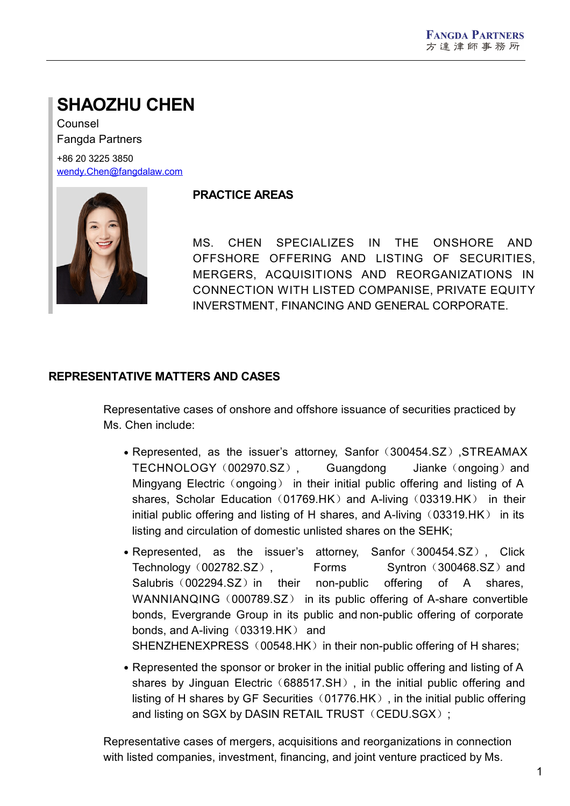# **SHAOZHU CHEN**

Counsel Fangda Partners

+86 20 3225 3850 [wendy.Chen@fangdalaw.com](mailto:wendy.Chen@fangdalaw.com)



#### **PRACTICE AREAS**

MS. CHEN SPECIALIZES IN THE ONSHORE AND OFFSHORE OFFERING AND LISTING OF SECURITIES, MERGERS, ACQUISITIONS AND REORGANIZATIONS IN CONNECTION WITH LISTED COMPANISE, PRIVATE EQUITY INVERSTMENT, FINANCING AND GENERAL CORPORATE.

## **REPRESENTATIVE MATTERS AND CASES**

Representative cases of onshore and offshore issuance of securities practiced by Ms. Chen include:

- Represented, as the issuer's attorney, Sanfor (300454.SZ), STREAMAX TECHNOLOGY(002970.SZ), Guangdong Jianke(ongoing)and Mingyang Electric (ongoing) in their initial public offering and listing of A shares, Scholar Education (01769.HK) and A-living (03319.HK) in their initial public offering and listing of H shares, and A-living  $(03319.HK)$  in its listing and circulation of domestic unlisted shares on the SEHK;
- Represented, as the issuer's attorney, Sanfor (300454.SZ), Click Technology (002782.SZ), Forms Syntron (300468.SZ) and Salubris (002294.SZ) in their non-public offering of A shares, WANNIANQING (000789.SZ) in its public offering of A-share convertible bonds, Evergrande Group in its public and non-public offering of corporate bonds, and A-living  $(03319.HK)$  and SHENZHENEXPRESS (00548.HK) in their non-public offering of H shares;
- Represented the sponsor or broker in the initial public offering and listing of A shares by Jinguan Electric (688517.SH), in the initial public offering and listing of H shares by GF Securities  $(01776.HK)$ , in the initial public offering and listing on SGX by DASIN RETAIL TRUST (CEDU.SGX);

Representative cases of mergers, acquisitions and reorganizations in connection with listed companies, investment, financing, and joint venture practiced by Ms.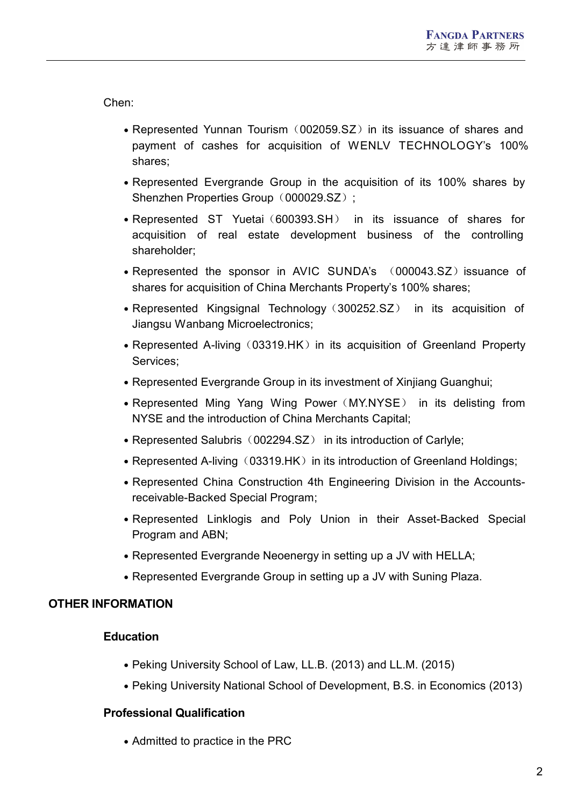Chen:

- Represented Yunnan Tourism (002059.SZ) in its issuance of shares and payment of cashes for acquisition of WENLV TECHNOLOGY's 100% shares;
- Represented Evergrande Group in the acquisition of its 100% shares by Shenzhen Properties Group (000029.SZ):
- Represented ST Yuetai (600393.SH) in its issuance of shares for acquisition of real estate development business of the controlling shareholder;
- Represented the sponsor in AVIC SUNDA's (000043.SZ) issuance of shares for acquisition of China Merchants Property's 100% shares;
- Represented Kingsignal Technology (300252.SZ) in its acquisition of Jiangsu Wanbang Microelectronics;
- Represented A-living (03319.HK) in its acquisition of Greenland Property Services;
- Represented Evergrande Group in its investment of Xinijang Guanghui;
- Represented Ming Yang Wing Power (MY.NYSE) in its delisting from NYSE and the introduction of China Merchants Capital;
- Represented Salubris (002294.SZ) in its introduction of Carlyle;
- Represented A-living (03319.HK) in its introduction of Greenland Holdings;
- Represented China Construction 4th Engineering Division in the Accountsreceivable-Backed Special Program;
- Represented Linklogis and Poly Union in their Asset-Backed Special Program and ABN;
- Represented Evergrande Neoenergy in setting up a JV with HELLA;
- Represented Evergrande Group in setting up a JV with Suning Plaza.

## **OTHER INFORMATION**

#### **Education**

- Peking University School of Law, LL.B. (2013) and LL.M. (2015)
- Peking University National School of Development, B.S. in Economics (2013)

#### **Professional Qualification**

• Admitted to practice in the PRC